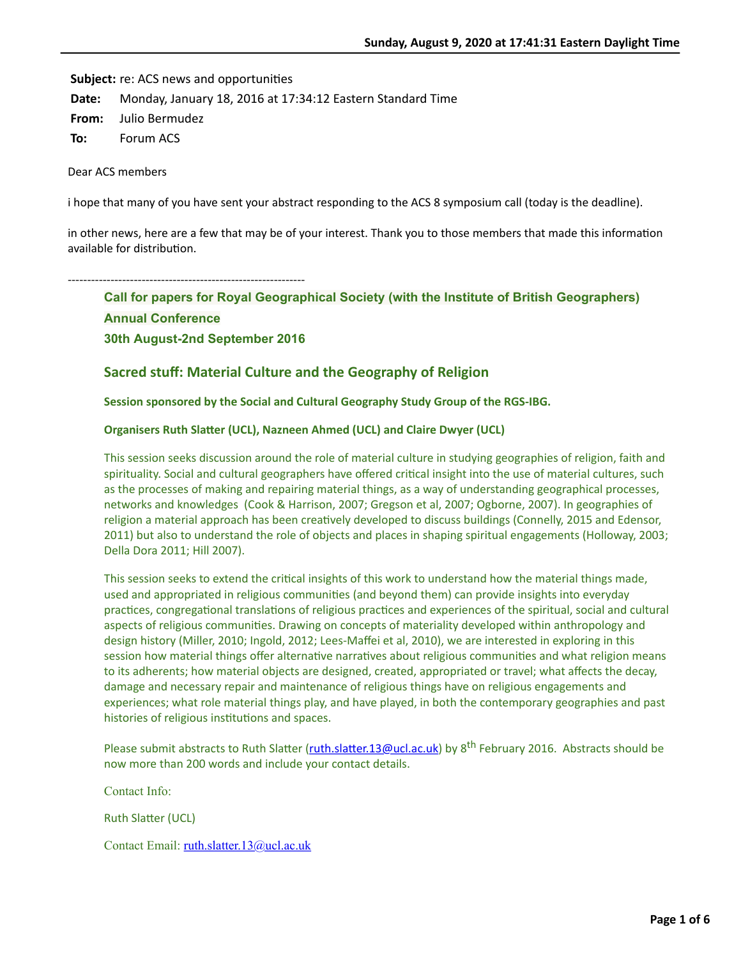**Subject:** re: ACS news and opportunities

**Date:** Monday, January 18, 2016 at 17:34:12 Eastern Standard Time

**From:** Julio Bermudez

**To:** Forum ACS

Dear ACS members

i hope that many of you have sent your abstract responding to the ACS 8 symposium call (today is the deadline).

in other news, here are a few that may be of your interest. Thank you to those members that made this information available for distribution.

-------------------------------------------------------------

**Call for papers for Royal Geographical Society (with the Institute of British Geographers) Annual Conference 30th August-2nd September 2016**

# **Sacred stuff: Material Culture and the Geography of Religion**

**Session sponsored by the Social and Cultural Geography Study Group of the RGS-IBG.**

## **Organisers Ruth Slatter (UCL), Nazneen Ahmed (UCL) and Claire Dwyer (UCL)**

This session seeks discussion around the role of material culture in studying geographies of religion, faith and spirituality. Social and cultural geographers have offered critical insight into the use of material cultures, such as the processes of making and repairing material things, as a way of understanding geographical processes, networks and knowledges (Cook & Harrison, 2007; Gregson et al, 2007; Ogborne, 2007). In geographies of religion a material approach has been creatively developed to discuss buildings (Connelly, 2015 and Edensor, 2011) but also to understand the role of objects and places in shaping spiritual engagements (Holloway, 2003; Della Dora 2011; Hill 2007).

This session seeks to extend the critical insights of this work to understand how the material things made, used and appropriated in religious communities (and beyond them) can provide insights into everyday practices, congregational translations of religious practices and experiences of the spiritual, social and cultural aspects of religious communities. Drawing on concepts of materiality developed within anthropology and design history (Miller, 2010; Ingold, 2012; Lees-Maffei et al, 2010), we are interested in exploring in this session how material things offer alternative narratives about religious communities and what religion means to its adherents; how material objects are designed, created, appropriated or travel; what affects the decay, damage and necessary repair and maintenance of religious things have on religious engagements and experiences; what role material things play, and have played, in both the contemporary geographies and past histories of religious institutions and spaces.

Please submit abstracts to Ruth Slatter (ruth.slatter.13@ucl.ac.uk) by 8<sup>th</sup> February 2016. Abstracts should be now more than 200 words and include your contact details.

Contact Info:

Ruth Slatter (UCL)

Contact Email: [ruth.slatter.13@ucl.ac.uk](mailto:ruth.slatter.13@ucl.ac.uk)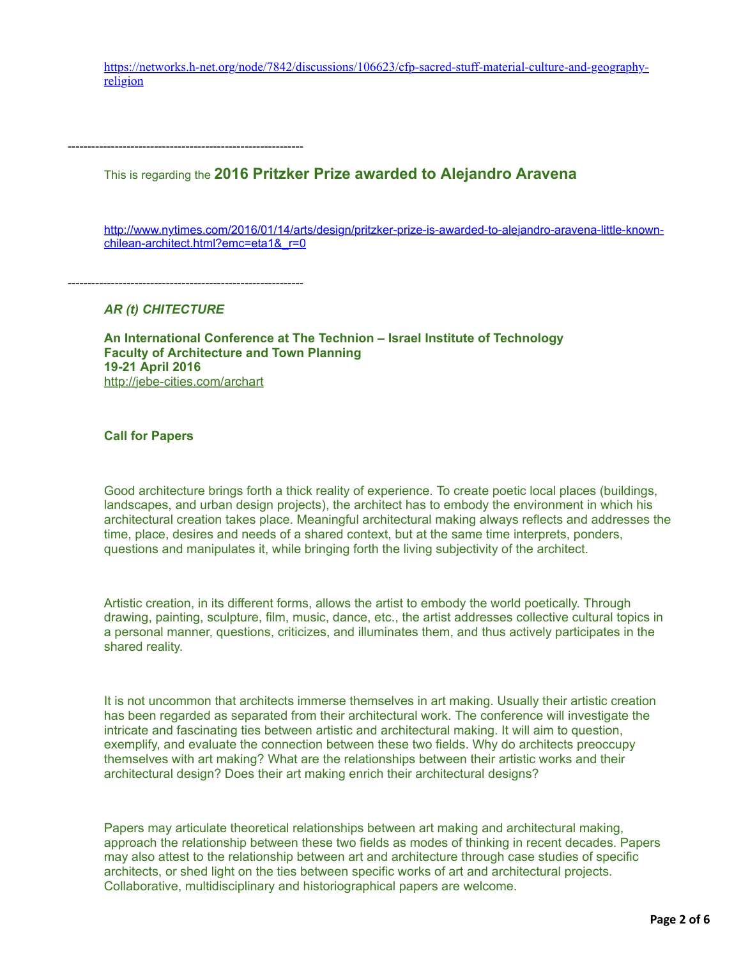[https://networks.h-net.org/node/7842/discussions/106623/cfp-sacred-stuff-material-culture-and-geography](https://networks.h-net.org/node/7842/discussions/106623/cfp-sacred-stuff-material-culture-and-geography-religion)religion

------------------------------------------------------------

This is regarding the **2016 Pritzker Prize awarded to Alejandro Aravena**

[http://www.nytimes.com/2016/01/14/arts/design/pritzker-prize-is-awarded-to-alejandro-aravena-little-known](http://www.nytimes.com/2016/01/14/arts/design/pritzker-prize-is-awarded-to-alejandro-aravena-little-known-chilean-architect.html?emc=eta1&_r=0)chilean-architect.html?emc=eta1& r=0

*AR (t) CHITECTURE*

------------------------------------------------------------

**An International Conference at The Technion – Israel Institute of Technology Faculty of Architecture and Town Planning 19-21 April 2016** <http://jebe-cities.com/archart>

**Call for Papers**

Good architecture brings forth a thick reality of experience. To create poetic local places (buildings, landscapes, and urban design projects), the architect has to embody the environment in which his architectural creation takes place. Meaningful architectural making always reflects and addresses the time, place, desires and needs of a shared context, but at the same time interprets, ponders, questions and manipulates it, while bringing forth the living subjectivity of the architect.

Artistic creation, in its different forms, allows the artist to embody the world poetically. Through drawing, painting, sculpture, film, music, dance, etc., the artist addresses collective cultural topics in a personal manner, questions, criticizes, and illuminates them, and thus actively participates in the shared reality.

It is not uncommon that architects immerse themselves in art making. Usually their artistic creation has been regarded as separated from their architectural work. The conference will investigate the intricate and fascinating ties between artistic and architectural making. It will aim to question, exemplify, and evaluate the connection between these two fields. Why do architects preoccupy themselves with art making? What are the relationships between their artistic works and their architectural design? Does their art making enrich their architectural designs?

Papers may articulate theoretical relationships between art making and architectural making, approach the relationship between these two fields as modes of thinking in recent decades. Papers may also attest to the relationship between art and architecture through case studies of specific architects, or shed light on the ties between specific works of art and architectural projects. Collaborative, multidisciplinary and historiographical papers are welcome.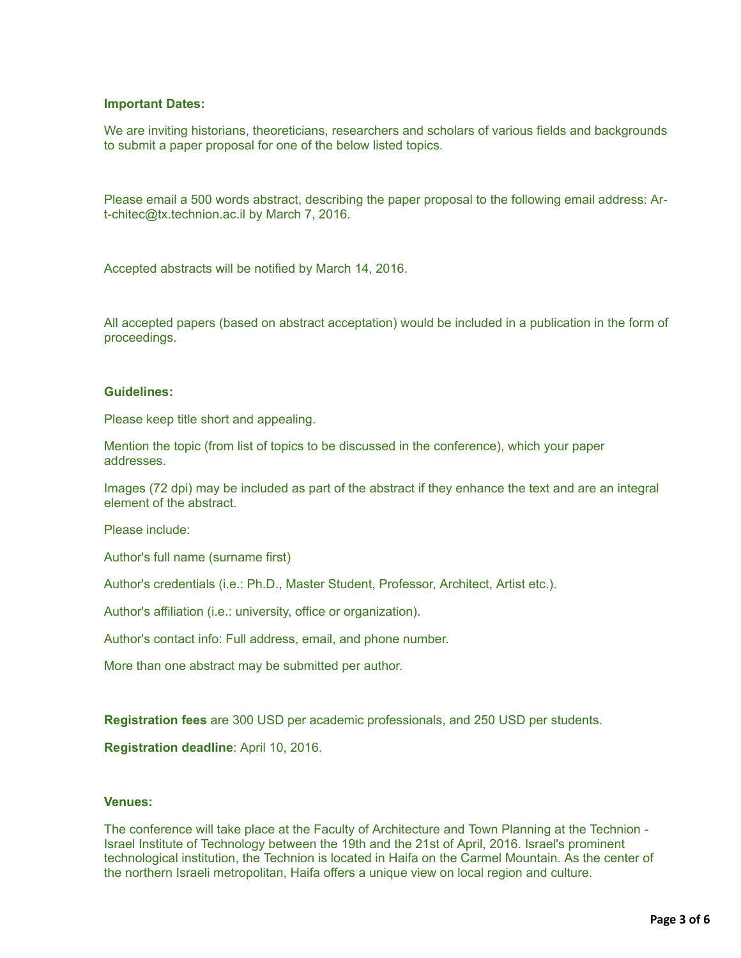# **Important Dates:**

We are inviting historians, theoreticians, researchers and scholars of various fields and backgrounds to submit a paper proposal for one of the below listed topics.

Please email a 500 words abstract, describing the paper proposal to the following email address: Art-chitec@tx.technion.ac.il by March 7, 2016.

Accepted abstracts will be notified by March 14, 2016.

All accepted papers (based on abstract acceptation) would be included in a publication in the form of proceedings.

## **Guidelines:**

Please keep title short and appealing.

Mention the topic (from list of topics to be discussed in the conference), which your paper addresses.

Images (72 dpi) may be included as part of the abstract if they enhance the text and are an integral element of the abstract.

Please include:

Author's full name (surname first)

Author's credentials (i.e.: Ph.D., Master Student, Professor, Architect, Artist etc.).

Author's affiliation (i.e.: university, office or organization).

Author's contact info: Full address, email, and phone number.

More than one abstract may be submitted per author.

**Registration fees** are 300 USD per academic professionals, and 250 USD per students.

**Registration deadline**: April 10, 2016.

## **Venues:**

The conference will take place at the Faculty of Architecture and Town Planning at the Technion - Israel Institute of Technology between the 19th and the 21st of April, 2016. Israel's prominent technological institution, the Technion is located in Haifa on the Carmel Mountain. As the center of the northern Israeli metropolitan, Haifa offers a unique view on local region and culture.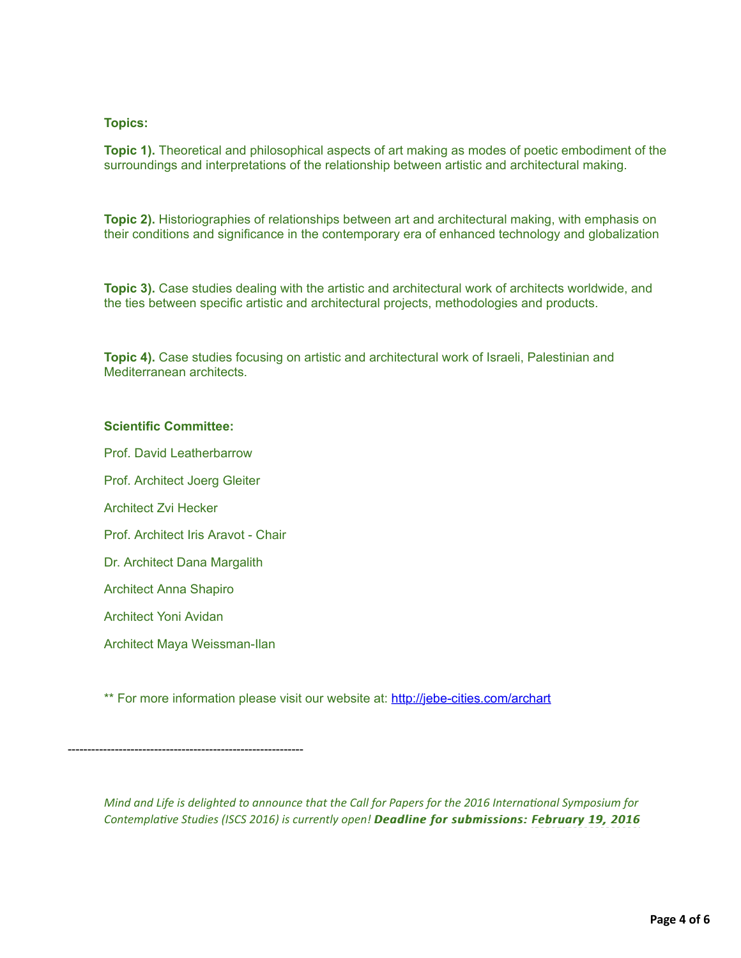# **Topics:**

**Topic 1).** Theoretical and philosophical aspects of art making as modes of poetic embodiment of the surroundings and interpretations of the relationship between artistic and architectural making.

**Topic 2).** Historiographies of relationships between art and architectural making, with emphasis on their conditions and significance in the contemporary era of enhanced technology and globalization

**Topic 3).** Case studies dealing with the artistic and architectural work of architects worldwide, and the ties between specific artistic and architectural projects, methodologies and products.

**Topic 4).** Case studies focusing on artistic and architectural work of Israeli, Palestinian and Mediterranean architects.

## **Scientific Committee:**

Prof. David Leatherbarrow Prof. Architect Joerg Gleiter Architect Zvi Hecker Prof. Architect Iris Aravot - Chair Dr. Architect Dana Margalith Architect Anna Shapiro Architect Yoni Avidan Architect Maya Weissman-Ilan

\*\* For more information please visit our website at: <http://jebe-cities.com/archart>

------------------------------------------------------------

*Mind and Life is delighted to announce that the Call for Papers for the 2016 International Symposium for Contemplative Studies (ISCS 2016) is currently open! Deadline for submissions: February 19, 2016*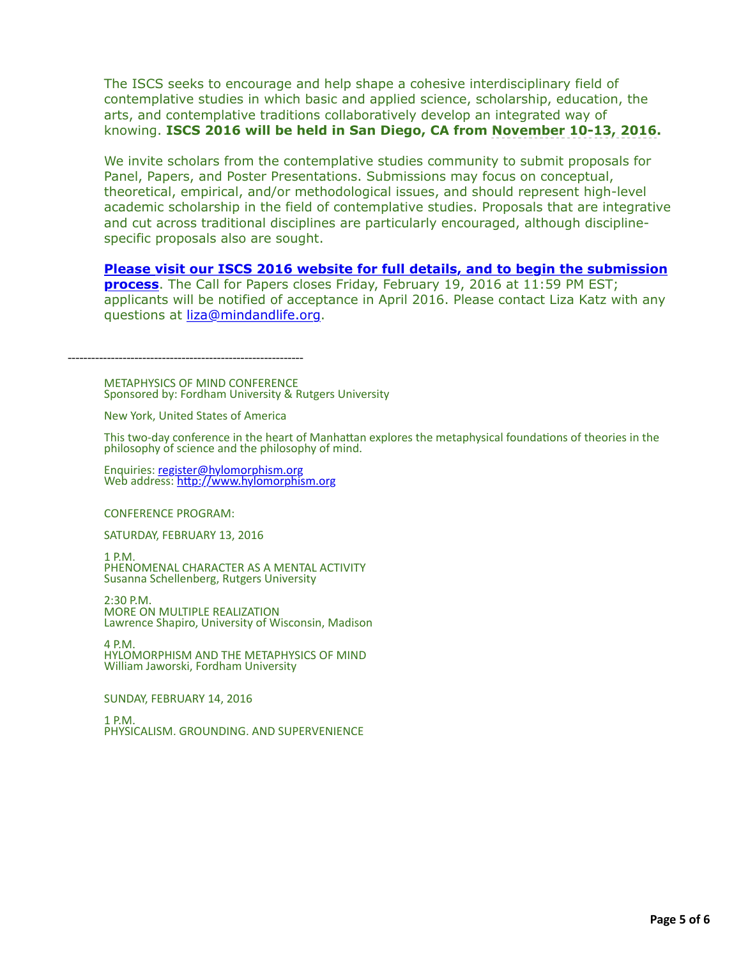The ISCS seeks to encourage and help shape a cohesive interdisciplinary field of contemplative studies in which basic and applied science, scholarship, education, the arts, and contemplative traditions collaboratively develop an integrated way of knowing. **ISCS 2016 will be held in San Diego, CA from November 10-13, 2016.** 

We invite scholars from the contemplative studies community to submit proposals for Panel, Papers, and Poster Presentations. Submissions may focus on conceptual, theoretical, empirical, and/or methodological issues, and should represent high-level academic scholarship in the field of contemplative studies. Proposals that are integrative and cut across traditional disciplines are particularly encouraged, although disciplinespecific proposals also are sought.

**[Please visit our ISCS 2016 website for full details, and to begin the submission](http://r20.rs6.net/tn.jsp?f=001O0FJeqZDOAL98YBOLx_ottMLvTL1j9_KXUkp2aQ6i-f4Xtd8nHzDXPm9QTgWTVSSBEyLVlxxyLegdF-noWN2ZwT1Y5Mxarp5M_EZosORRqsiP6r9y8awFdObnN6ypIeubTgW41g3N9EVIYCxCHSsvFTh80eANJYz0embdj0t1I9XdRVyFczQGDy-UXRLlzhQmJVfMsQ_sSvyef1ZIjsbDYZdHwxsbn_M&c=KjtnpyNMymGmyDF7rgqj4AImk5Ux0XVWrdjbxgatVhC7_KT8V_3UCA==&ch=JQn2UcyApVLjE2gO7XU5wjR0kCUP8HKHmO87doqGS5Pb13DvZabGCw==) process**. The Call for Papers closes Friday, February 19, 2016 at 11:59 PM EST; applicants will be notified of acceptance in April 2016. Please contact Liza Katz with any questions at [liza@mindandlife.org](mailto:liza@mindandlife.org).

------------------------------------------------------------

METAPHYSICS OF MIND CONFERENCE Sponsored by: Fordham University & Rutgers University

New York, United States of America

This two-day conference in the heart of Manhattan explores the metaphysical foundations of theories in the philosophy of science and the philosophy of mind.

Enquiries: [register@hylomorphism.org](mailto:register@hylomorphism.org) Web address: http://www.hylomorphism.org

CONFERENCE PROGRAM:

SATURDAY, FEBRUARY 13, 2016

1 P.M.

PHENOMENAL CHARACTER AS A MENTAL ACTIVITY Susanna Schellenberg, Rutgers University

2:30 P.M. MORE ON MULTIPLE REALIZATION Lawrence Shapiro, University of Wisconsin, Madison

4 P.M. HYLOMORPHISM AND THE METAPHYSICS OF MIND William Jaworski, Fordham University

SUNDAY, FEBRUARY 14, 2016

1 P.M. PHYSICALISM, GROUNDING, AND SUPERVENIENCE